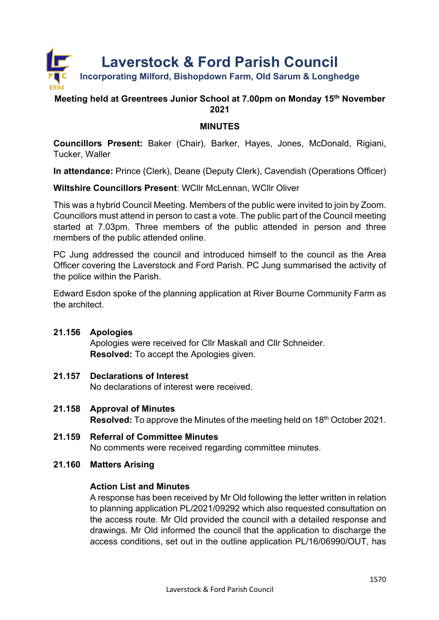

# **Meeting held at Greentrees Junior School at 7.00pm on Monday 15th November 2021**

# **MINUTES**

**Councillors Present:** Baker (Chair), Barker, Hayes, Jones, McDonald, Rigiani, Tucker, Waller

**In attendance:** Prince (Clerk), Deane (Deputy Clerk), Cavendish (Operations Officer)

**Wiltshire Councillors Present**: WCllr McLennan, WCllr Oliver

This was a hybrid Council Meeting. Members of the public were invited to join by Zoom. Councillors must attend in person to cast a vote. The public part of the Council meeting started at 7.03pm. Three members of the public attended in person and three members of the public attended online.

PC Jung addressed the council and introduced himself to the council as the Area Officer covering the Laverstock and Ford Parish. PC Jung summarised the activity of the police within the Parish.

Edward Esdon spoke of the planning application at River Bourne Community Farm as the architect.

## **21.156 Apologies**

Apologies were received for Cllr Maskall and Cllr Schneider. **Resolved:** To accept the Apologies given.

# **21.157 Declarations of Interest**

No declarations of interest were received.

- **21.158 Approval of Minutes Resolved:** To approve the Minutes of the meeting held on 18<sup>th</sup> October 2021.
- **21.159 Referral of Committee Minutes** No comments were received regarding committee minutes.
- **21.160 Matters Arising**

## **Action List and Minutes**

A response has been received by Mr Old following the letter written in relation to planning application PL/2021/09292 which also requested consultation on the access route. Mr Old provided the council with a detailed response and drawings. Mr Old informed the council that the application to discharge the access conditions, set out in the outline application PL/16/06990/OUT, has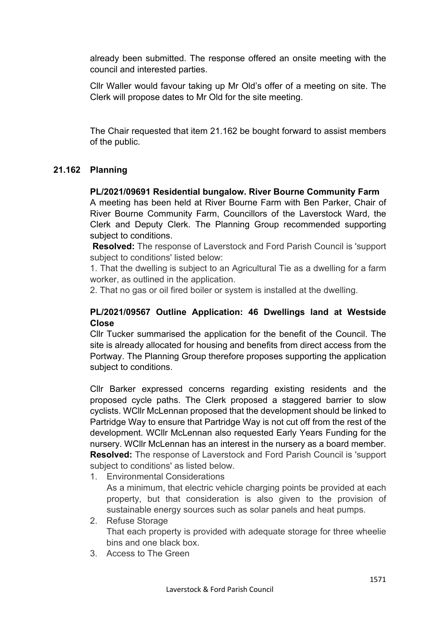already been submitted. The response offered an onsite meeting with the council and interested parties.

Cllr Waller would favour taking up Mr Old's offer of a meeting on site. The Clerk will propose dates to Mr Old for the site meeting.

The Chair requested that item 21.162 be bought forward to assist members of the public.

# **21.162 Planning**

**PL/2021/09691 Residential bungalow. River Bourne Community Farm**

A meeting has been held at River Bourne Farm with Ben Parker, Chair of River Bourne Community Farm, Councillors of the Laverstock Ward, the Clerk and Deputy Clerk. The Planning Group recommended supporting subject to conditions.

**Resolved:** The response of Laverstock and Ford Parish Council is 'support subject to conditions' listed below:

1. That the dwelling is subject to an Agricultural Tie as a dwelling for a farm worker, as outlined in the application.

2. That no gas or oil fired boiler or system is installed at the dwelling.

# **PL/2021/09567 Outline Application: 46 Dwellings land at Westside Close**

Cllr Tucker summarised the application for the benefit of the Council. The site is already allocated for housing and benefits from direct access from the Portway. The Planning Group therefore proposes supporting the application subject to conditions.

Cllr Barker expressed concerns regarding existing residents and the proposed cycle paths. The Clerk proposed a staggered barrier to slow cyclists. WCllr McLennan proposed that the development should be linked to Partridge Way to ensure that Partridge Way is not cut off from the rest of the development. WCllr McLennan also requested Early Years Funding for the nursery. WCllr McLennan has an interest in the nursery as a board member. **Resolved:** The response of Laverstock and Ford Parish Council is 'support subject to conditions' as listed below.

1. Environmental Considerations

As a minimum, that electric vehicle charging points be provided at each property, but that consideration is also given to the provision of sustainable energy sources such as solar panels and heat pumps.

- 2. Refuse Storage That each property is provided with adequate storage for three wheelie bins and one black box.
- 3. Access to The Green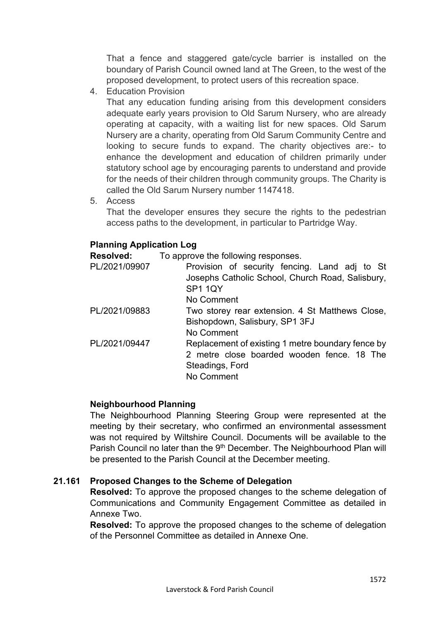That a fence and staggered gate/cycle barrier is installed on the boundary of Parish Council owned land at The Green, to the west of the proposed development, to protect users of this recreation space.

4. Education Provision

That any education funding arising from this development considers adequate early years provision to Old Sarum Nursery, who are already operating at capacity, with a waiting list for new spaces. Old Sarum Nursery are a charity, operating from Old Sarum Community Centre and looking to secure funds to expand. The charity objectives are:- to enhance the development and education of children primarily under statutory school age by encouraging parents to understand and provide for the needs of their children through community groups. The Charity is called the Old Sarum Nursery number 1147418.

5. Access

That the developer ensures they secure the rights to the pedestrian access paths to the development, in particular to Partridge Way.

## **Planning Application Log**

**Resolved:** To approve the following responses.

| PL/2021/09907 | Provision of security fencing. Land adj to St<br>Josephs Catholic School, Church Road, Salisbury,<br>SP1 1QY<br>No Comment       |
|---------------|----------------------------------------------------------------------------------------------------------------------------------|
| PL/2021/09883 | Two storey rear extension. 4 St Matthews Close,<br>Bishopdown, Salisbury, SP1 3FJ<br>No Comment                                  |
| PL/2021/09447 | Replacement of existing 1 metre boundary fence by<br>2 metre close boarded wooden fence. 18 The<br>Steadings, Ford<br>No Comment |

## **Neighbourhood Planning**

The Neighbourhood Planning Steering Group were represented at the meeting by their secretary, who confirmed an environmental assessment was not required by Wiltshire Council. Documents will be available to the Parish Council no later than the 9<sup>th</sup> December. The Neighbourhood Plan will be presented to the Parish Council at the December meeting.

## **21.161 Proposed Changes to the Scheme of Delegation**

**Resolved:** To approve the proposed changes to the scheme delegation of Communications and Community Engagement Committee as detailed in Annexe Two.

**Resolved:** To approve the proposed changes to the scheme of delegation of the Personnel Committee as detailed in Annexe One.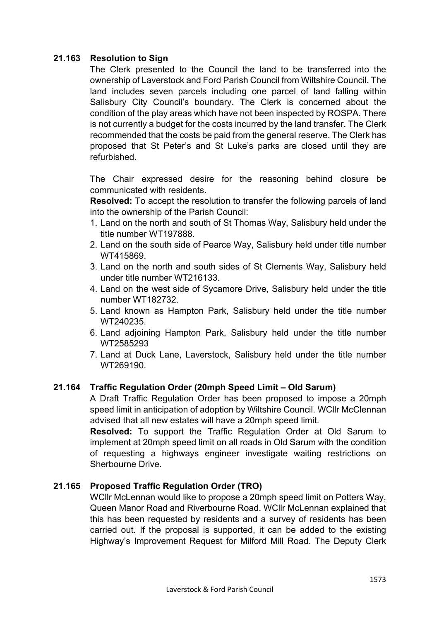# **21.163 Resolution to Sign**

The Clerk presented to the Council the land to be transferred into the ownership of Laverstock and Ford Parish Council from Wiltshire Council. The land includes seven parcels including one parcel of land falling within Salisbury City Council's boundary. The Clerk is concerned about the condition of the play areas which have not been inspected by ROSPA. There is not currently a budget for the costs incurred by the land transfer. The Clerk recommended that the costs be paid from the general reserve. The Clerk has proposed that St Peter's and St Luke's parks are closed until they are refurbished.

The Chair expressed desire for the reasoning behind closure be communicated with residents.

**Resolved:** To accept the resolution to transfer the following parcels of land into the ownership of the Parish Council:

- 1. Land on the north and south of St Thomas Way, Salisbury held under the title number WT197888.
- 2. Land on the south side of Pearce Way, Salisbury held under title number WT415869.
- 3. Land on the north and south sides of St Clements Way, Salisbury held under title number WT216133.
- 4. Land on the west side of Sycamore Drive, Salisbury held under the title number WT182732.
- 5. Land known as Hampton Park, Salisbury held under the title number WT240235.
- 6. Land adjoining Hampton Park, Salisbury held under the title number WT2585293
- 7. Land at Duck Lane, Laverstock, Salisbury held under the title number WT269190.

# **21.164 Traffic Regulation Order (20mph Speed Limit – Old Sarum)**

A Draft Traffic Regulation Order has been proposed to impose a 20mph speed limit in anticipation of adoption by Wiltshire Council. WCllr McClennan advised that all new estates will have a 20mph speed limit.

**Resolved:** To support the Traffic Regulation Order at Old Sarum to implement at 20mph speed limit on all roads in Old Sarum with the condition of requesting a highways engineer investigate waiting restrictions on Sherbourne Drive.

## **21.165 Proposed Traffic Regulation Order (TRO)**

WCllr McLennan would like to propose a 20mph speed limit on Potters Way, Queen Manor Road and Riverbourne Road. WCllr McLennan explained that this has been requested by residents and a survey of residents has been carried out. If the proposal is supported, it can be added to the existing Highway's Improvement Request for Milford Mill Road. The Deputy Clerk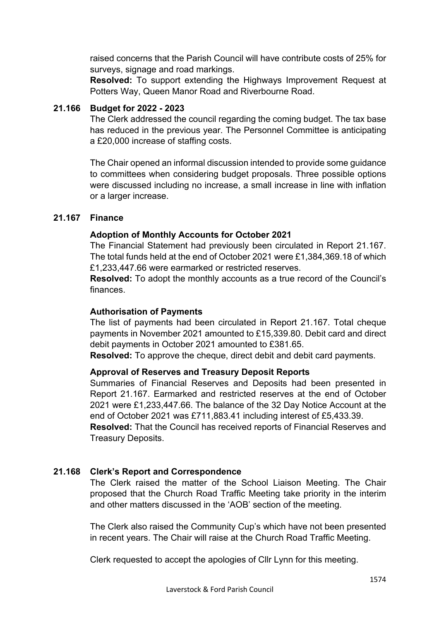raised concerns that the Parish Council will have contribute costs of 25% for surveys, signage and road markings.

**Resolved:** To support extending the Highways Improvement Request at Potters Way, Queen Manor Road and Riverbourne Road.

## **21.166 Budget for 2022 - 2023**

The Clerk addressed the council regarding the coming budget. The tax base has reduced in the previous year. The Personnel Committee is anticipating a £20,000 increase of staffing costs.

The Chair opened an informal discussion intended to provide some guidance to committees when considering budget proposals. Three possible options were discussed including no increase, a small increase in line with inflation or a larger increase.

## **21.167 Finance**

# **Adoption of Monthly Accounts for October 2021**

The Financial Statement had previously been circulated in Report 21.167. The total funds held at the end of October 2021 were £1,384,369.18 of which £1,233,447.66 were earmarked or restricted reserves.

**Resolved:** To adopt the monthly accounts as a true record of the Council's finances.

## **Authorisation of Payments**

The list of payments had been circulated in Report 21.167. Total cheque payments in November 2021 amounted to £15,339.80. Debit card and direct debit payments in October 2021 amounted to £381.65.

**Resolved:** To approve the cheque, direct debit and debit card payments.

## **Approval of Reserves and Treasury Deposit Reports**

Summaries of Financial Reserves and Deposits had been presented in Report 21.167. Earmarked and restricted reserves at the end of October 2021 were £1,233,447.66. The balance of the 32 Day Notice Account at the end of October 2021 was £711,883.41 including interest of £5,433.39.

**Resolved:** That the Council has received reports of Financial Reserves and Treasury Deposits.

# **21.168 Clerk's Report and Correspondence**

The Clerk raised the matter of the School Liaison Meeting. The Chair proposed that the Church Road Traffic Meeting take priority in the interim and other matters discussed in the 'AOB' section of the meeting.

The Clerk also raised the Community Cup's which have not been presented in recent years. The Chair will raise at the Church Road Traffic Meeting.

Clerk requested to accept the apologies of Cllr Lynn for this meeting.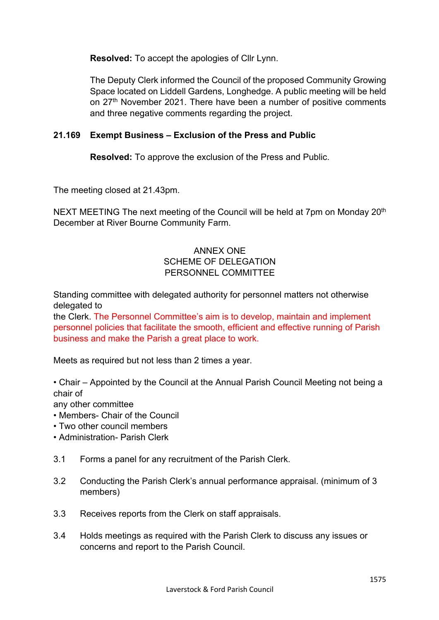**Resolved:** To accept the apologies of Cllr Lynn.

The Deputy Clerk informed the Council of the proposed Community Growing Space located on Liddell Gardens, Longhedge. A public meeting will be held on 27<sup>th</sup> November 2021. There have been a number of positive comments and three negative comments regarding the project.

# **21.169 Exempt Business – Exclusion of the Press and Public**

**Resolved:** To approve the exclusion of the Press and Public.

The meeting closed at 21.43pm.

NEXT MEETING The next meeting of the Council will be held at 7pm on Monday 20<sup>th</sup> December at River Bourne Community Farm.

# ANNEX ONE SCHEME OF DELEGATION PERSONNEL COMMITTEE

Standing committee with delegated authority for personnel matters not otherwise delegated to

the Clerk. The Personnel Committee's aim is to develop, maintain and implement personnel policies that facilitate the smooth, efficient and effective running of Parish business and make the Parish a great place to work.

Meets as required but not less than 2 times a year.

• Chair – Appointed by the Council at the Annual Parish Council Meeting not being a chair of

any other committee

- Members- Chair of the Council
- Two other council members
- Administration- Parish Clerk
- 3.1 Forms a panel for any recruitment of the Parish Clerk.
- 3.2 Conducting the Parish Clerk's annual performance appraisal. (minimum of 3 members)
- 3.3 Receives reports from the Clerk on staff appraisals.
- 3.4 Holds meetings as required with the Parish Clerk to discuss any issues or concerns and report to the Parish Council.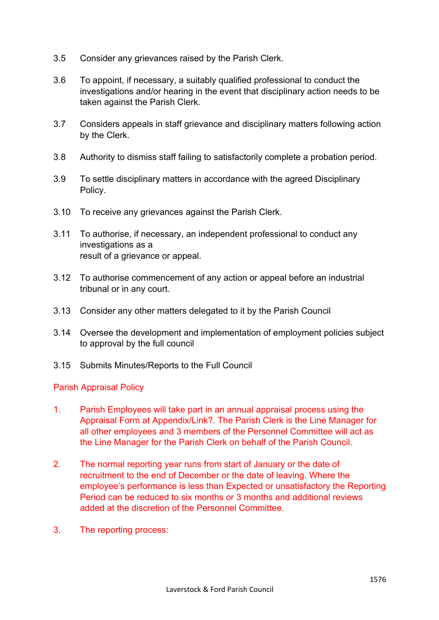- 3.5 Consider any grievances raised by the Parish Clerk.
- 3.6 To appoint, if necessary, a suitably qualified professional to conduct the investigations and/or hearing in the event that disciplinary action needs to be taken against the Parish Clerk.
- 3.7 Considers appeals in staff grievance and disciplinary matters following action by the Clerk.
- 3.8 Authority to dismiss staff failing to satisfactorily complete a probation period.
- 3.9 To settle disciplinary matters in accordance with the agreed Disciplinary Policy.
- 3.10 To receive any grievances against the Parish Clerk.
- 3.11 To authorise, if necessary, an independent professional to conduct any investigations as a result of a grievance or appeal.
- 3.12 To authorise commencement of any action or appeal before an industrial tribunal or in any court.
- 3.13 Consider any other matters delegated to it by the Parish Council
- 3.14 Oversee the development and implementation of employment policies subject to approval by the full council
- 3.15 Submits Minutes/Reports to the Full Council

## Parish Appraisal Policy

- 1. Parish Employees will take part in an annual appraisal process using the Appraisal Form at Appendix/Link?. The Parish Clerk is the Line Manager for all other employees and 3 members of the Personnel Committee will act as the Line Manager for the Parish Clerk on behalf of the Parish Council.
- 2. The normal reporting year runs from start of January or the date of recruitment to the end of December or the date of leaving. Where the employee's performance is less than Expected or unsatisfactory the Reporting Period can be reduced to six months or 3 months and additional reviews added at the discretion of the Personnel Committee.
- 3. The reporting process: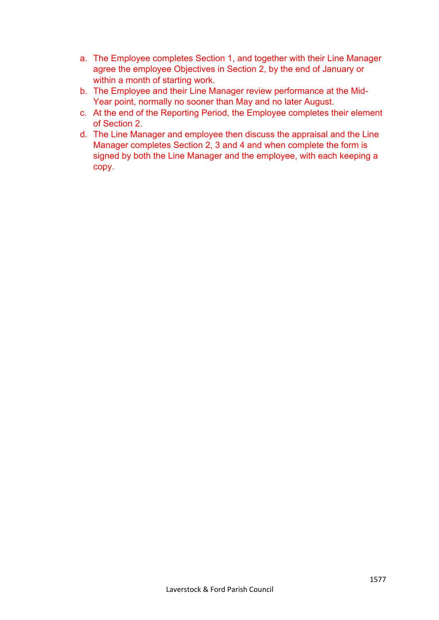- a. The Employee completes Section 1, and together with their Line Manager agree the employee Objectives in Section 2, by the end of January or within a month of starting work.
- b. The Employee and their Line Manager review performance at the Mid-Year point, normally no sooner than May and no later August.
- c. At the end of the Reporting Period, the Employee completes their element of Section 2.
- d. The Line Manager and employee then discuss the appraisal and the Line Manager completes Section 2, 3 and 4 and when complete the form is signed by both the Line Manager and the employee, with each keeping a copy.